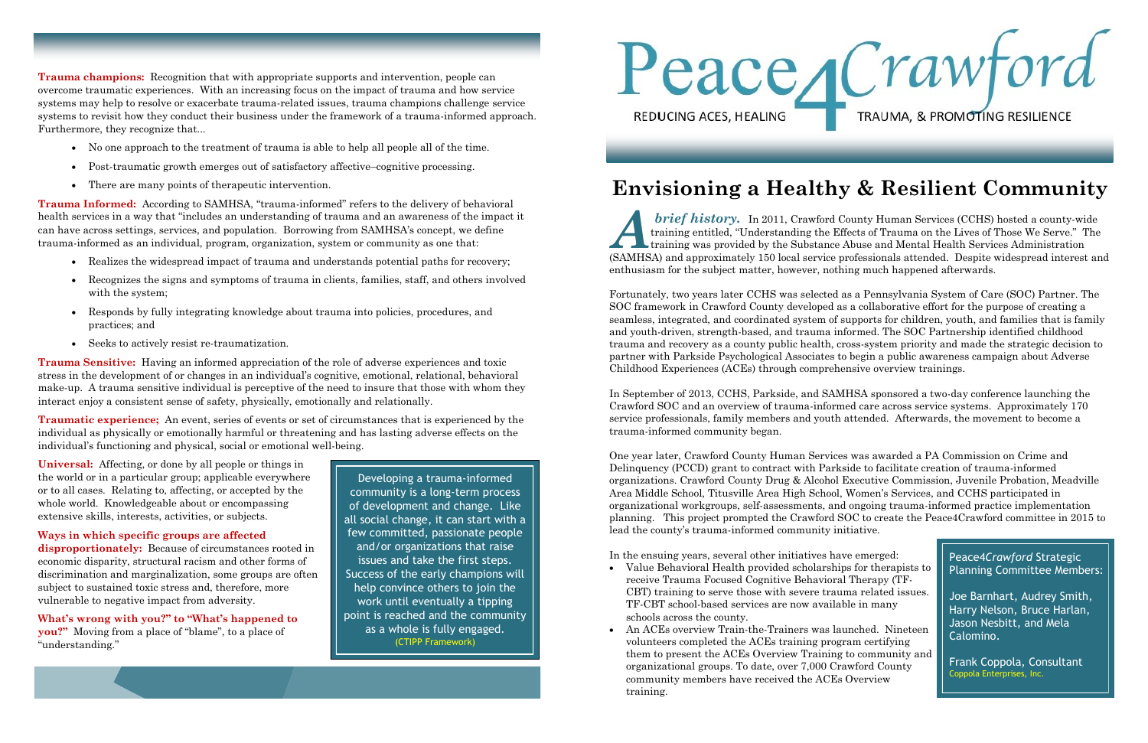**Trauma champions:** Recognition that with appropriate supports and intervention, people can overcome traumatic experiences. With an increasing focus on the impact of trauma and how service systems may help to resolve or exacerbate trauma-related issues, trauma champions challenge service systems to revisit how they conduct their business under the framework of a trauma-informed approach. Furthermore, they recognize that...

- No one approach to the treatment of trauma is able to help all people all of the time.
- Post-traumatic growth emerges out of satisfactory affective–cognitive processing.
- There are many points of therapeutic intervention.

**Trauma Informed:** According to SAMHSA, "trauma-informed" refers to the delivery of behavioral health services in a way that "includes an understanding of trauma and an awareness of the impact it can have across settings, services, and population. Borrowing from SAMHSA's concept, we define trauma-informed as an individual, program, organization, system or community as one that:

- Realizes the widespread impact of trauma and understands potential paths for recovery;
- Recognizes the signs and symptoms of trauma in clients, families, staff, and others involved with the system;
- Responds by fully integrating knowledge about trauma into policies, procedures, and practices; and
- Seeks to actively resist re-traumatization.

**Trauma Sensitive:** Having an informed appreciation of the role of adverse experiences and toxic stress in the development of or changes in an individual's cognitive, emotional, relational, behavioral make-up. A trauma sensitive individual is perceptive of the need to insure that those with whom they interact enjoy a consistent sense of safety, physically, emotionally and relationally.

**Traumatic experience;** An event, series of events or set of circumstances that is experienced by the individual as physically or emotionally harmful or threatening and has lasting adverse effects on the individual's functioning and physical, social or emotional well-being.

**Universal:** Affecting, or done by all people or things in the world or in a particular group; applicable everywhere or to all cases. Relating to, affecting, or accepted by the whole world. Knowledgeable about or encompassing extensive skills, interests, activities, or subjects.

**Ways in which specific groups are affected disproportionately:** Because of circumstances rooted in economic disparity, structural racism and other forms of discrimination and marginalization, some groups are often subject to sustained toxic stress and, therefore, more vulnerable to negative impact from adversity.

**What's wrong with you?" to "What's happened to you?"** Moving from a place of "blame", to a place of "understanding."

Developing a trauma-informed community is a long-term process of development and change. Like all social change, it can start with a few committed, passionate people and/or organizations that raise issues and take the first steps. Success of the early champions will help convince others to join the work until eventually a tipping point is reached and the community as a whole is fully engaged. (CTIPP Framework)



*A* (SAMHSA) and approximately 150 local service professionals attended. Despite widespread interest and *brief history.* In 2011, Crawford County Human Services (CCHS) hosted a county-wide training entitled, "Understanding the Effects of Trauma on the Lives of Those We Serve." The training was provided by the Substance Abuse and Mental Health Services Administration enthusiasm for the subject matter, however, nothing much happened afterwards.

Fortunately, two years later CCHS was selected as a Pennsylvania System of Care (SOC) Partner. The SOC framework in Crawford County developed as a collaborative effort for the purpose of creating a seamless, integrated, and coordinated system of supports for children, youth, and families that is family and youth-driven, strength-based, and trauma informed. The SOC Partnership identified childhood trauma and recovery as a county public health, cross-system priority and made the strategic decision to partner with Parkside Psychological Associates to begin a public awareness campaign about Adverse Childhood Experiences (ACEs) through comprehensive overview trainings.

In September of 2013, CCHS, Parkside, and SAMHSA sponsored a two-day conference launching the Crawford SOC and an overview of trauma-informed care across service systems. Approximately 170 service professionals, family members and youth attended. Afterwards, the movement to become a trauma-informed community began.

One year later, Crawford County Human Services was awarded a PA Commission on Crime and Delinquency (PCCD) grant to contract with Parkside to facilitate creation of trauma-informed organizations. Crawford County Drug & Alcohol Executive Commission, Juvenile Probation, Meadville Area Middle School, Titusville Area High School, Women's Services, and CCHS participated in organizational workgroups, self-assessments, and ongoing trauma-informed practice implementation planning. This project prompted the Crawford SOC to create the Peace4Crawford committee in 2015 to lead the county's trauma-informed community initiative.

In the ensuing years, several other initiatives have emerged:

- Value Behavioral Health provided scholarships for therapists to receive Trauma Focused Cognitive Behavioral Therapy (TF-CBT) training to serve those with severe trauma related issues. TF-CBT school-based services are now available in many schools across the county.
- An ACEs overview Train-the-Trainers was launched. Nineteen volunteers completed the ACEs training program certifying them to present the ACEs Overview Training to community and organizational groups. To date, over 7,000 Crawford County community members have received the ACEs Overview training.

TRAUMA, & PROMOTING RESILIENCE

## Peace4*Crawford* Strategic Planning Committee Members:

Joe Barnhart, Audrey Smith, Harry Nelson, Bruce Harlan, Jason Nesbitt, and Mela Calomino.

Frank Coppola, Consultant Coppola Enterprises, Inc.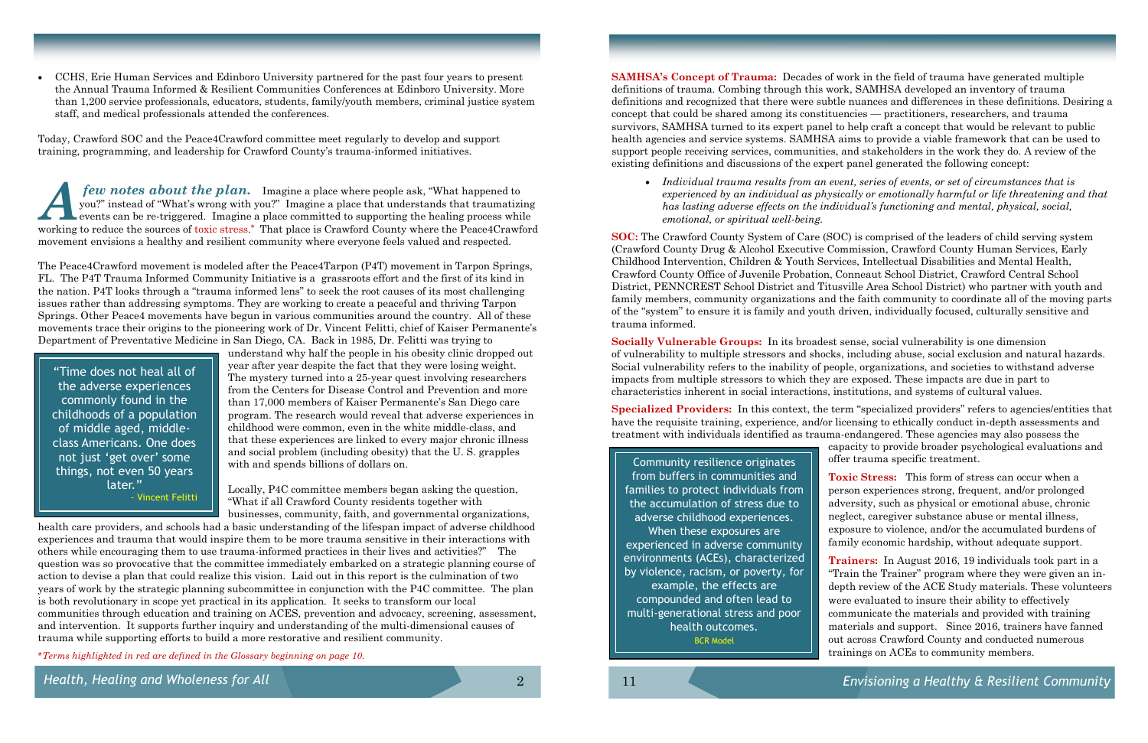CCHS, Erie Human Services and Edinboro University partnered for the past four years to present the Annual Trauma Informed & Resilient Communities Conferences at Edinboro University. More than 1,200 service professionals, educators, students, family/youth members, criminal justice system staff, and medical professionals attended the conferences.

Today, Crawford SOC and the Peace4Crawford committee meet regularly to develop and support training, programming, and leadership for Crawford County's trauma-informed initiatives.

*A few notes about the plan.* Imagine a place where people ask, "What happened to you?" instead of "What's wrong with you?" Imagine a place that understands that traumatizing events can be re-triggered. Imagine a place committed to supporting the healing process while working to reduce the sources of toxic stress. **\*** That place is Crawford County where the Peace4Crawford movement envisions a healthy and resilient community where everyone feels valued and respected.

The Peace4Crawford movement is modeled after the Peace4Tarpon (P4T) movement in Tarpon Springs, FL. The P4T Trauma Informed Community Initiative is a grassroots effort and the first of its kind in the nation. P4T looks through a "trauma informed lens" to seek the root causes of its most challenging issues rather than addressing symptoms. They are working to create a peaceful and thriving Tarpon Springs. Other Peace4 movements have begun in various communities around the country. All of these movements trace their origins to the pioneering work of Dr. Vincent Felitti, chief of Kaiser Permanente's Department of Preventative Medicine in San Diego, CA. Back in 1985, Dr. Felitti was trying to

understand why half the people in his obesity clinic dropped out year after year despite the fact that they were losing weight. The mystery turned into a 25-year quest involving researchers from the Centers for Disease Control and Prevention and more than 17,000 members of Kaiser Permanente's San Diego care program. The research would reveal that adverse experiences in childhood were common, even in the white middle-class, and that these experiences are linked to every major chronic illness and social problem (including obesity) that the U. S. grapples with and spends billions of dollars on.

Locally, P4C committee members began asking the question, "What if all Crawford County residents together with businesses, community, faith, and governmental organizations,

health care providers, and schools had a basic understanding of the lifespan impact of adverse childhood experiences and trauma that would inspire them to be more trauma sensitive in their interactions with others while encouraging them to use trauma-informed practices in their lives and activities?" The question was so provocative that the committee immediately embarked on a strategic planning course of action to devise a plan that could realize this vision. Laid out in this report is the culmination of two years of work by the strategic planning subcommittee in conjunction with the P4C committee. The plan is both revolutionary in scope yet practical in its application. It seeks to transform our local communities through education and training on ACES, prevention and advocacy, screening, assessment, and intervention. It supports further inquiry and understanding of the multi-dimensional causes of trauma while supporting efforts to build a more restorative and resilient community.

*Health, Healing and Wholeness for All*

"Time does not heal all of the adverse experiences commonly found in the childhoods of a population of middle aged, middleclass Americans. One does not just 'get over' some things, not even 50 years later." - Vincent Felitti

**Specialized Providers:** In this context, the term "specialized providers" refers to agencies/entities that have the requisite training, experience, and/or licensing to ethically conduct in-depth assessments and treatment with individuals identified as trauma-endangered. These agencies may also possess the capacity to provide broader psychological evaluations and offer trauma specific treatment. Community resilience originates

2

*\*Terms highlighted in red are defined in the Glossary beginning on page 10.*

**SAMHSA's Concept of Trauma:** Decades of work in the field of trauma have generated multiple definitions of trauma. Combing through this work, SAMHSA developed an inventory of trauma definitions and recognized that there were subtle nuances and differences in these definitions. Desiring a concept that could be shared among its constituencies — practitioners, researchers, and trauma survivors, SAMHSA turned to its expert panel to help craft a concept that would be relevant to public health agencies and service systems. SAMHSA aims to provide a viable framework that can be used to support people receiving services, communities, and stakeholders in the work they do. A review of the existing definitions and discussions of the expert panel generated the following concept:

 *Individual trauma results from an event, series of events, or set of circumstances that is experienced by an individual as physically or emotionally harmful or life threatening and that has lasting adverse effects on the individual's functioning and mental, physical, social,* 

*emotional, or spiritual well-being.*

**SOC:** The Crawford County System of Care (SOC) is comprised of the leaders of child serving system (Crawford County Drug & Alcohol Executive Commission, Crawford County Human Services, Early Childhood Intervention, Children & Youth Services, Intellectual Disabilities and Mental Health, Crawford County Office of Juvenile Probation, Conneaut School District, Crawford Central School District, PENNCREST School District and Titusville Area School District) who partner with youth and family members, community organizations and the faith community to coordinate all of the moving parts of the "system" to ensure it is family and youth driven, individually focused, culturally sensitive and trauma informed.

**Socially Vulnerable Groups:** In its broadest sense, social vulnerability is one dimension of vulnerability to multiple stressors and shocks, including abuse, social exclusion and natural hazards. Social vulnerability refers to the inability of people, organizations, and societies to withstand adverse impacts from multiple stressors to which they are exposed. These impacts are due in part to characteristics inherent in social interactions, institutions, and systems of cultural values.

> **Toxic Stress:** This form of stress can occur when a person experiences strong, frequent, and/or prolonged adversity, such as physical or emotional abuse, chronic neglect, caregiver substance abuse or mental illness, exposure to violence, and/or the accumulated burdens of family economic hardship, without adequate support.

**Trainers:** In August 2016, 19 individuals took part in a "Train the Trainer" program where they were given an indepth review of the ACE Study materials. These volunteers were evaluated to insure their ability to effectively communicate the materials and provided with training materials and support. Since 2016, trainers have fanned out across Crawford County and conducted numerous trainings on ACEs to community members.

11 *Envisioning a Healthy & Resilient Community*

from buffers in communities and families to protect individuals from the accumulation of stress due to adverse childhood experiences. When these exposures are experienced in adverse community environments (ACEs), characterized by violence, racism, or poverty, for example, the effects are compounded and often lead to multi-generational stress and poor health outcomes. BCR Model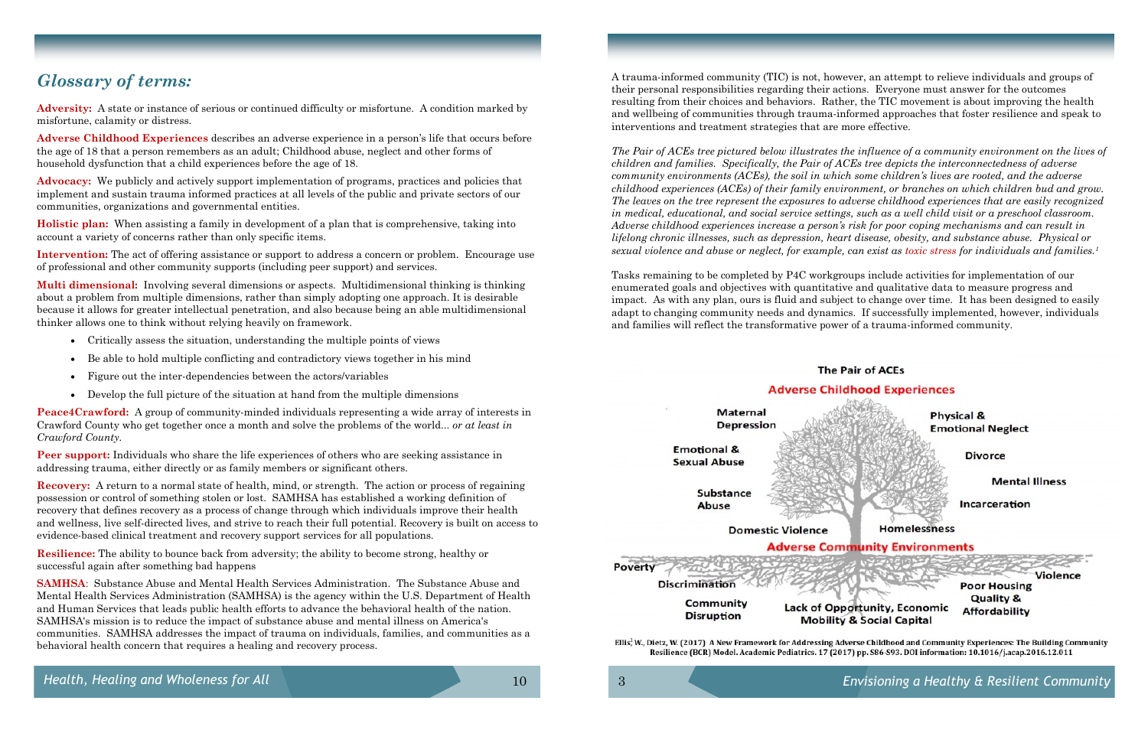## *Glossary of terms:*

**Adversity:** A state or instance of serious or continued difficulty or misfortune. A condition marked by misfortune, calamity or distress.

**Adverse Childhood Experiences** describes an adverse experience in a person's life that occurs before the age of 18 that a person remembers as an adult; Childhood abuse, neglect and other forms of household dysfunction that a child experiences before the age of 18.

**Advocacy:** We publicly and actively support implementation of programs, practices and policies that implement and sustain trauma informed practices at all levels of the public and private sectors of our communities, organizations and governmental entities.

**Holistic plan:** When assisting a family in development of a plan that is comprehensive, taking into account a variety of concerns rather than only specific items.

**Intervention:** The act of offering assistance or support to address a concern or problem. Encourage use of professional and other community supports (including peer support) and services.

**Peer support:** Individuals who share the life experiences of others who are seeking assistance in addressing trauma, either directly or as family members or significant others.

**Multi dimensional:** Involving several dimensions or aspects. Multidimensional thinking is thinking about a problem from multiple dimensions, rather than simply adopting one approach. It is desirable because it allows for greater intellectual penetration, and also because being an able multidimensional thinker allows one to think without relying heavily on framework.

- Critically assess the situation, understanding the multiple points of views
- Be able to hold multiple conflicting and contradictory views together in his mind
- Figure out the inter-dependencies between the actors/variables
- Develop the full picture of the situation at hand from the multiple dimensions

**Peace4Crawford:** A group of community-minded individuals representing a wide array of interests in Crawford County who get together once a month and solve the problems of the world... *or at least in Crawford County.*

**Recovery:** A return to a normal state of health, mind, or strength. The action or process of regaining possession or control of something stolen or lost. SAMHSA has established a working definition of recovery that defines recovery as a process of change through which individuals improve their health and wellness, live self-directed lives, and strive to reach their full potential. Recovery is built on access to evidence-based clinical treatment and recovery support services for all populations.

**Resilience:** The ability to bounce back from adversity; the ability to become strong, healthy or successful again after something bad happens

**SAMHSA**: Substance Abuse and Mental Health Services Administration. The Substance Abuse and Mental Health Services Administration (SAMHSA) is the agency within the U.S. Department of Health and Human Services that leads public health efforts to advance the behavioral health of the nation. SAMHSA's mission is to reduce the impact of substance abuse and mental illness on America's communities. SAMHSA addresses the impact of trauma on individuals, families, and communities as a behavioral health concern that requires a healing and recovery process.

*Health, Healing and Wholeness for All* 10

A trauma-informed community (TIC) is not, however, an attempt to relieve individuals and groups of their personal responsibilities regarding their actions. Everyone must answer for the outcomes resulting from their choices and behaviors. Rather, the TIC movement is about improving the health and wellbeing of communities through trauma-informed approaches that foster resilience and speak to interventions and treatment strategies that are more effective.

*The Pair of ACEs tree pictured below illustrates the influence of a community environment on the lives of children and families. Specifically, the Pair of ACEs tree depicts the interconnectedness of adverse community environments (ACEs), the soil in which some children's lives are rooted, and the adverse childhood experiences (ACEs) of their family environment, or branches on which children bud and grow. The leaves on the tree represent the exposures to adverse childhood experiences that are easily recognized in medical, educational, and social service settings, such as a well child visit or a preschool classroom. Adverse childhood experiences increase a person's risk for poor coping mechanisms and can result in lifelong chronic illnesses, such as depression, heart disease, obesity, and substance abuse. Physical or sexual violence and abuse or neglect, for example, can exist as toxic stress for individuals and families. 1*



Resilience (BCR) Model. Academic Pediatrics. 17 (2017) pp. S86-S93. DOI information: 10.1016/j.acap.2016.12.011

Tasks remaining to be completed by P4C workgroups include activities for implementation of our enumerated goals and objectives with quantitative and qualitative data to measure progress and impact. As with any plan, ours is fluid and subject to change over time. It has been designed to easily adapt to changing community needs and dynamics. If successfully implemented, however, individuals and families will reflect the transformative power of a trauma-informed community.

# **The Pair of ACEs Physical & Emotional Neglect Divorce Mental Illness** Incarceration **Homelessness Violence Poor Housing Quality & Affordability**

# **Adverse Childhood Experiences Adverse Community Environments Lack of Opportunity, Economic Mobility & Social Capital**

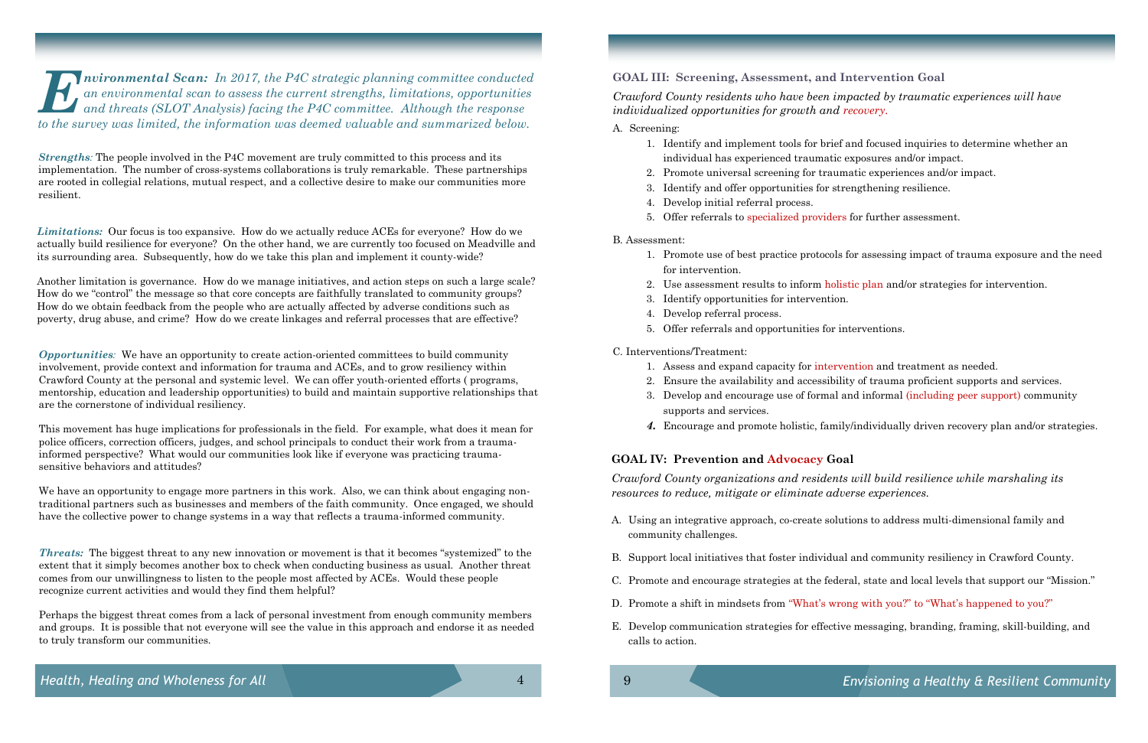*Strengths:* The people involved in the P4C movement are truly committed to this process and its implementation. The number of cross-systems collaborations is truly remarkable. These partnerships are rooted in collegial relations, mutual respect, and a collective desire to make our communities more resilient.

*Limitations:* Our focus is too expansive. How do we actually reduce ACEs for everyone? How do we actually build resilience for everyone? On the other hand, we are currently too focused on Meadville and its surrounding area. Subsequently, how do we take this plan and implement it county-wide?

Another limitation is governance. How do we manage initiatives, and action steps on such a large scale? How do we "control" the message so that core concepts are faithfully translated to community groups? How do we obtain feedback from the people who are actually affected by adverse conditions such as poverty, drug abuse, and crime? How do we create linkages and referral processes that are effective?

We have an opportunity to engage more partners in this work. Also, we can think about engaging nontraditional partners such as businesses and members of the faith community. Once engaged, we should have the collective power to change systems in a way that reflects a trauma-informed community.

*Opportunities:* We have an opportunity to create action-oriented committees to build community involvement, provide context and information for trauma and ACEs, and to grow resiliency within Crawford County at the personal and systemic level. We can offer youth-oriented efforts ( programs, mentorship, education and leadership opportunities) to build and maintain supportive relationships that are the cornerstone of individual resiliency.

This movement has huge implications for professionals in the field. For example, what does it mean for police officers, correction officers, judges, and school principals to conduct their work from a traumainformed perspective? What would our communities look like if everyone was practicing traumasensitive behaviors and attitudes?

*Threats:* The biggest threat to any new innovation or movement is that it becomes "systemized" to the extent that it simply becomes another box to check when conducting business as usual. Another threat comes from our unwillingness to listen to the people most affected by ACEs. Would these people recognize current activities and would they find them helpful?

Perhaps the biggest threat comes from a lack of personal investment from enough community members and groups. It is possible that not everyone will see the value in this approach and endorse it as needed to truly transform our communities.

*E nvironmental Scan: In 2017, the P4C strategic planning committee conducted an environmental scan to assess the current strengths, limitations, opportunities and threats (SLOT Analysis) facing the P4C committee. Although the response to the survey was limited, the information was deemed valuable and summarized below.*

### **GOAL IV: Prevention and Advocacy Goal**

*Crawford County organizations and residents will build resilience while marshaling its resources to reduce, mitigate or eliminate adverse experiences.* 

B. Support local initiatives that foster individual and community resiliency in Crawford County.

- A. Using an integrative approach, co-create solutions to address multi-dimensional family and community challenges.
- 
- 
- D. Promote a shift in mindsets from "What's wrong with you?" to "What's happened to you?"
- calls to action.

C. Promote and encourage strategies at the federal, state and local levels that support our "Mission."

E. Develop communication strategies for effective messaging, branding, framing, skill-building, and

## **GOAL III: Screening, Assessment, and Intervention Goal**

*Crawford County residents who have been impacted by traumatic experiences will have individualized opportunities for growth and recovery.*

1. Identify and implement tools for brief and focused inquiries to determine whether an

1. Promote use of best practice protocols for assessing impact of trauma exposure and the need

- A. Screening:
	- individual has experienced traumatic exposures and/or impact.
	- 2. Promote universal screening for traumatic experiences and/or impact.
	- 3. Identify and offer opportunities for strengthening resilience.
	- 4. Develop initial referral process.
	- 5. Offer referrals to specialized providers for further assessment.
- B. Assessment:
	- for intervention.
	-
	- 3. Identify opportunities for intervention.
	- 4. Develop referral process.
	- 5. Offer referrals and opportunities for interventions.
- C. Interventions/Treatment:
	- 1. Assess and expand capacity for intervention and treatment as needed.
	-
	- supports and services.
	-

2. Use assessment results to inform holistic plan and/or strategies for intervention.

2. Ensure the availability and accessibility of trauma proficient supports and services. 3. Develop and encourage use of formal and informal (including peer support) community

*4.* Encourage and promote holistic, family/individually driven recovery plan and/or strategies.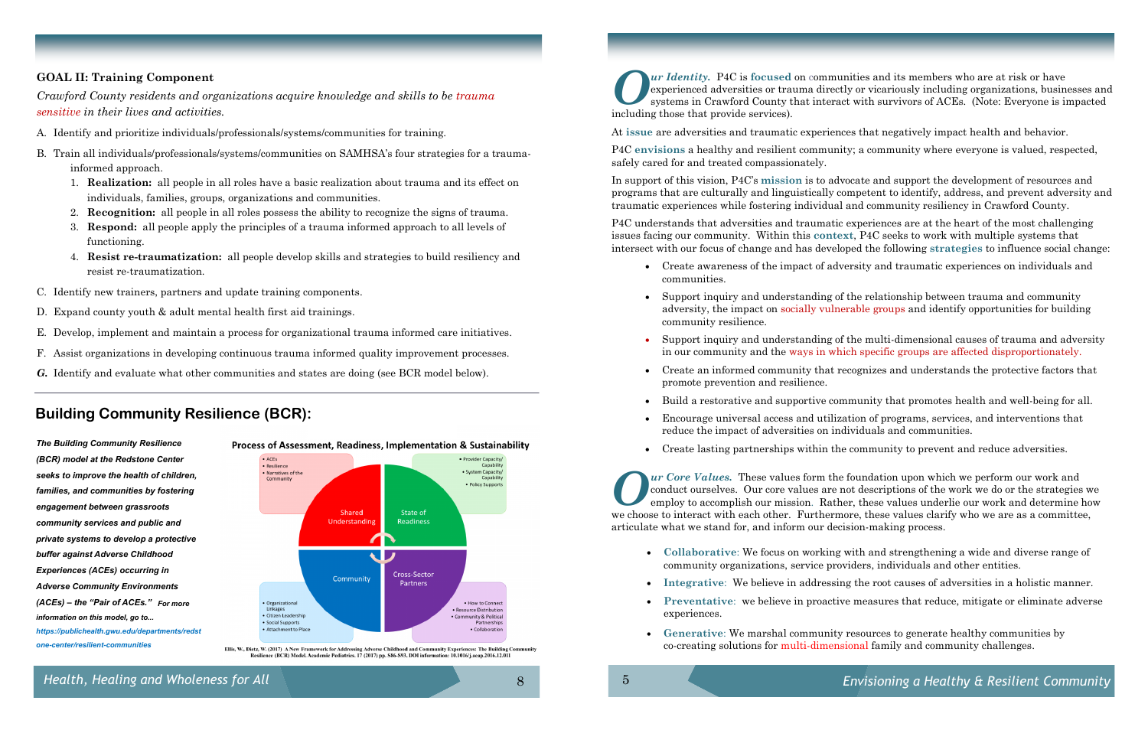*Health, Healing and Wholeness for All*

## **GOAL II: Training Component**

*Crawford County residents and organizations acquire knowledge and skills to be trauma sensitive in their lives and activities.* 

- A. Identify and prioritize individuals/professionals/systems/communities for training.
- B. Train all individuals/professionals/systems/communities on SAMHSA's four strategies for a traumainformed approach.
	- 1. **Realization:** all people in all roles have a basic realization about trauma and its effect on individuals, families, groups, organizations and communities.
	- 2. **Recognition:** all people in all roles possess the ability to recognize the signs of trauma.
	- 3. **Respond:** all people apply the principles of a trauma informed approach to all levels of functioning.
	- 4. **Resist re-traumatization:** all people develop skills and strategies to build resiliency and resist re-traumatization.
- C. Identify new trainers, partners and update training components.
- D. Expand county youth & adult mental health first aid trainings.
- E. Develop, implement and maintain a process for organizational trauma informed care initiatives.
- F. Assist organizations in developing continuous trauma informed quality improvement processes.
- *G.* Identify and evaluate what other communities and states are doing (see BCR model below).

*The Building Community Resilience (BCR) model at the Redstone Center seeks to improve the health of children, families, and communities by fostering engagement between grassroots community services and public and private systems to develop a protective buffer against Adverse Childhood Experiences (ACEs) occurring in Adverse Community Environments (ACEs) – the "Pair of ACEs." For more information on this model, go to... https://publichealth.gwu.edu/departments/redst one-center/resilient-communities*



Process of Assessment, Readiness, Implementation & Sustainability

.<br>Ellis, W., Dietz, W. (2017) A New Framework for Addressing Adverse Childhood and Community Experiences: The Building Comm Resilience (BCR) Model. Academic Pediatrics. 17 (2017) pp. S86-S93. DOI information: 10.1016/j.acap.2016.12.011

8

## **Building Community Resilience (BCR):**

**Collaborative**: We focus on working with and strengthening a wide and diverse range of

**Integrative**: We believe in addressing the root causes of adversities in a holistic manner.

- community organizations, service providers, individuals and other entities.
- 
- experiences.
- 

**Preventative**: we believe in proactive measures that reduce, mitigate or eliminate adverse

 **Generative**: We marshal community resources to generate healthy communities by co-creating solutions for multi-dimensional family and community challenges.

*O ur Identity.* P4C is **focused** on communities and its members who are at risk or have experienced adversities or trauma directly or vicariously including organizations, businesses and systems in Crawford County that interact with survivors of ACEs. (Note: Everyone is impacted including those that provide services).

At **issue** are adversities and traumatic experiences that negatively impact health and behavior.

P4C **envisions** a healthy and resilient community; a community where everyone is valued, respected, safely cared for and treated compassionately.

In support of this vision, P4C's **mission** is to advocate and support the development of resources and programs that are culturally and linguistically competent to identify, address, and prevent adversity and traumatic experiences while fostering individual and community resiliency in Crawford County.

P4C understands that adversities and traumatic experiences are at the heart of the most challenging issues facing our community. Within this **context**, P4C seeks to work with multiple systems that intersect with our focus of change and has developed the following **strategies** to influence social change:

Create awareness of the impact of adversity and traumatic experiences on individuals and

 Support inquiry and understanding of the relationship between trauma and community adversity, the impact on socially vulnerable groups and identify opportunities for building

 Support inquiry and understanding of the multi-dimensional causes of trauma and adversity in our community and the ways in which specific groups are affected disproportionately.

- communities.
- community resilience.
- 
- promote prevention and resilience.
- 
- reduce the impact of adversities on individuals and communities.
- 

Create an informed community that recognizes and understands the protective factors that

Build a restorative and supportive community that promotes health and well-being for all.

Encourage universal access and utilization of programs, services, and interventions that

Create lasting partnerships within the community to prevent and reduce adversities.

*O ur Core Values.* These values form the foundation upon which we perform our work and conduct ourselves. Our core values are not descriptions of the work we do or the strategies we employ to accomplish our mission. Rather, these values underlie our work and determine how we choose to interact with each other. Furthermore, these values clarify who we are as a committee, articulate what we stand for, and inform our decision-making process.